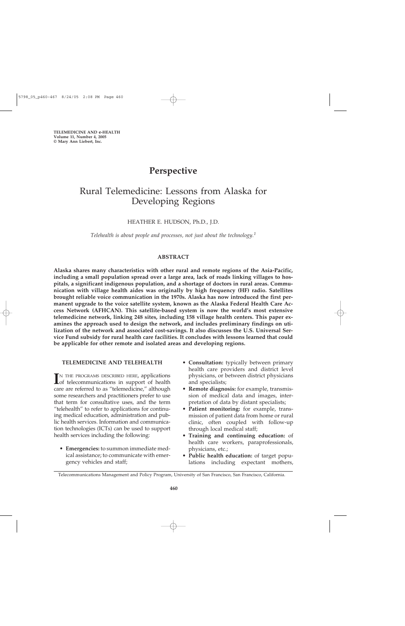# **Perspective**

# Rural Telemedicine: Lessons from Alaska for Developing Regions

# HEATHER E. HUDSON, Ph.D., J.D.

*Telehealth is about people and processes, not just about the technology.<sup>1</sup>*

# **ABSTRACT**

**Alaska shares many characteristics with other rural and remote regions of the Asia-Pacific, including a small population spread over a large area, lack of roads linking villages to hospitals, a significant indigenous population, and a shortage of doctors in rural areas. Communication with village health aides was originally by high frequency (HF) radio. Satellites brought reliable voice communication in the 1970s. Alaska has now introduced the first permanent upgrade to the voice satellite system, known as the Alaska Federal Health Care Access Network (AFHCAN). This satellite-based system is now the world's most extensive telemedicine network, linking 248 sites, including 158 village health centers. This paper examines the approach used to design the network, and includes preliminary findings on utilization of the network and associated cost-savings. It also discusses the U.S. Universal Service Fund subsidy for rural health care facilities. It concludes with lessons learned that could be applicable for other remote and isolated areas and developing regions.**

# **TELEMEDICINE AND TELEHEALTH**

IN THE PROGRAMS DESCRIBED HERE, applications<br>
of telecommunications in support of health TN THE PROGRAMS DESCRIBED HERE, applications care are referred to as "telemedicine," although some researchers and practitioners prefer to use that term for consultative uses, and the term "telehealth" to refer to applications for continuing medical education, administration and public health services. Information and communication technologies (ICTs) can be used to support health services including the following:

• **Emergencies:** to summon immediate medical assistance; to communicate with emergency vehicles and staff;

- **Consultation:** typically between primary health care providers and district level physicians, or between district physicians and specialists;
- **Remote diagnosis:** for example, transmission of medical data and images, interpretation of data by distant specialists;
- **Patient monitoring:** for example, transmission of patient data from home or rural clinic, often coupled with follow-up through local medical staff;
- **Training and continuing education:** of health care workers, paraprofessionals, physicians, etc.;
- **Public health education:** of target populations including expectant mothers,

Telecommunications Management and Policy Program, University of San Francisco, San Francisco, California.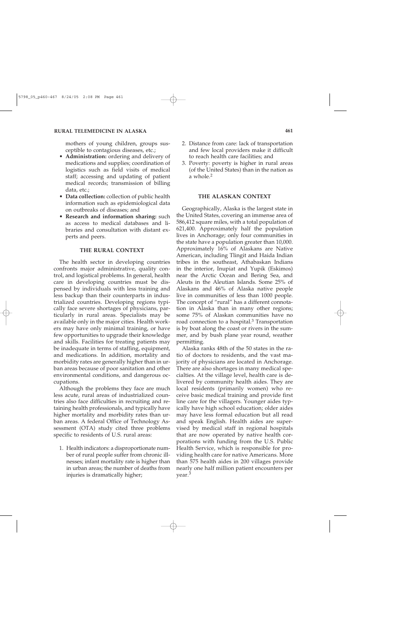mothers of young children, groups susceptible to contagious diseases, etc.;

- **Administration:** ordering and delivery of medications and supplies; coordination of logistics such as field visits of medical staff; accessing and updating of patient medical records; transmission of billing data, etc.;
- **Data collection:** collection of public health information such as epidemiological data on outbreaks of diseases; and
- **Research and information sharing:** such as access to medical databases and libraries and consultation with distant experts and peers.

## **THE RURAL CONTEXT**

The health sector in developing countries confronts major administrative, quality control, and logistical problems. In general, health care in developing countries must be dispensed by individuals with less training and less backup than their counterparts in industrialized countries. Developing regions typically face severe shortages of physicians, particularly in rural areas. Specialists may be available only in the major cities. Health workers may have only minimal training, or have few opportunities to upgrade their knowledge and skills. Facilities for treating patients may be inadequate in terms of staffing, equipment, and medications. In addition, mortality and morbidity rates are generally higher than in urban areas because of poor sanitation and other environmental conditions, and dangerous occupations.

Although the problems they face are much less acute, rural areas of industrialized countries also face difficulties in recruiting and retaining health professionals, and typically have higher mortality and morbidity rates than urban areas. A federal Office of Technology Assessment (OTA) study cited three problems specific to residents of U.S. rural areas:

1. Health indicators: a disproportionate number of rural people suffer from chronic illnesses; infant mortality rate is higher than in urban areas; the number of deaths from injuries is dramatically higher;

- 2. Distance from care: lack of transportation and few local providers make it difficult to reach health care facilities; and
- 3. Poverty: poverty is higher in rural areas (of the United States) than in the nation as a whole.2

## **THE ALASKAN CONTEXT**

Geographically, Alaska is the largest state in the United States, covering an immense area of 586,412 square miles, with a total population of 621,400. Approximately half the population lives in Anchorage; only four communities in the state have a population greater than 10,000. Approximately 16% of Alaskans are Native American, including Tlingit and Haida Indian tribes in the southeast, Athabaskan Indians in the interior, Inupiat and Yupik (Eskimos) near the Arctic Ocean and Bering Sea, and Aleuts in the Aleutian Islands. Some 25% of Alaskans and 46% of Alaska native people live in communities of less than 1000 people. The concept of "rural" has a different connotation in Alaska than in many other regions; some 75% of Alaskan communities have no road connection to a hospital. $3$  Transportation is by boat along the coast or rivers in the summer, and by bush plane year round, weather permitting.

Alaska ranks 48th of the 50 states in the ratio of doctors to residents, and the vast majority of physicians are located in Anchorage. There are also shortages in many medical specialties. At the village level, health care is delivered by community health aides. They are local residents (primarily women) who receive basic medical training and provide first line care for the villagers. Younger aides typically have high school education; older aides may have less formal education but all read and speak English. Health aides are supervised by medical staff in regional hospitals that are now operated by native health corporations with funding from the U.S. Public Health Service, which is responsible for providing health care for native Americans. More than 575 health aides in 200 villages provide nearly one half million patient encounters per year.<sup>3</sup>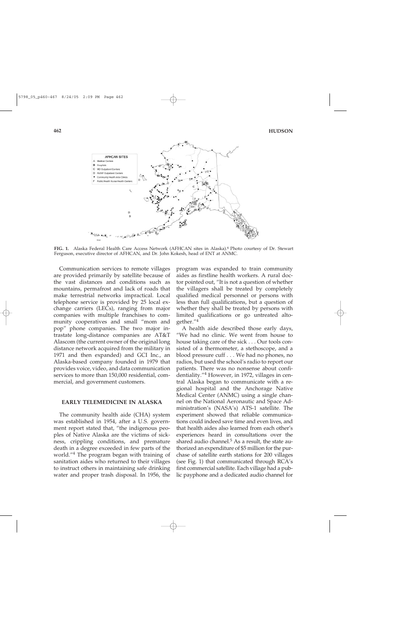

**FIG. 1.** Alaska Federal Health Care Access Network (AFHCAN sites in Alaska).6 Photo courtesy of Dr. Stewart Ferguson, executive director of AFHCAN, and Dr. John Kokesh, head of ENT at ANMC.

Communication services to remote villages are provided primarily by satellite because of the vast distances and conditions such as mountains, permafrost and lack of roads that make terrestrial networks impractical. Local telephone service is provided by 25 local exchange carriers (LECs), ranging from major companies with multiple franchises to community cooperatives and small "mom and pop" phone companies. The two major intrastate long-distance companies are AT&T Alascom (the current owner of the original long distance network acquired from the military in 1971 and then expanded) and GCI Inc., an Alaska-based company founded in 1979 that provides voice, video, and data communication services to more than 150,000 residential, commercial, and government customers.

# **EARLY TELEMEDICINE IN ALASKA**

The community health aide (CHA) system was established in 1954, after a U.S. government report stated that, "the indigenous peoples of Native Alaska are the victims of sickness, crippling conditions, and premature death in a degree exceeded in few parts of the world."4 The program began with training of sanitation aides who returned to their villages to instruct others in maintaining safe drinking water and proper trash disposal. In 1956, the

program was expanded to train community aides as firstline health workers. A rural doctor pointed out, "It is not a question of whether the villagers shall be treated by completely qualified medical personnel or persons with less than full qualifications, but a question of whether they shall be treated by persons with limited qualifications or go untreated altogether."<sup>4</sup>

A health aide described those early days, "We had no clinic. We went from house to house taking care of the sick . . . Our tools consisted of a thermometer, a stethoscope, and a blood pressure cuff . . . We had no phones, no radios, but used the school's radio to report our patients. There was no nonsense about confidentiality."4 However, in 1972, villages in central Alaska began to communicate with a regional hospital and the Anchorage Native Medical Center (ANMC) using a single channel on the National Aeronautic and Space Administration's (NASA's) ATS-1 satellite. The experiment showed that reliable communications could indeed save time and even lives, and that health aides also learned from each other's experiences heard in consultations over the shared audio channel. $5$  As a result, the state authorized an expenditure of \$5 million for the purchase of satellite earth stations for 200 villages (see Fig. 1) that communicated through RCA's first commercial satellite. Each village had a public payphone and a dedicated audio channel for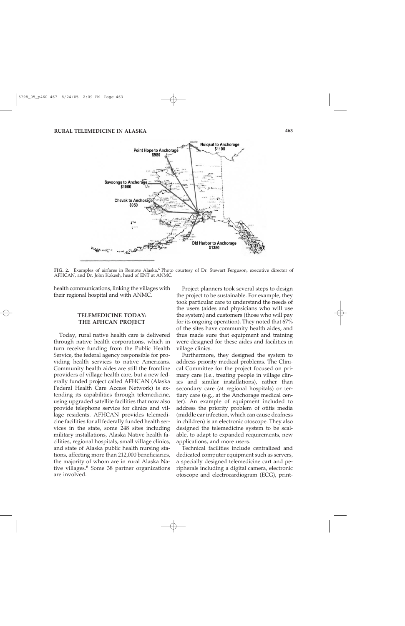

FIG. 2. Examples of airfares in Remote Alaska.<sup>6</sup> Photo courtesy of Dr. Stewart Ferguson, executive director of AFHCAN, and Dr. John Kokesh, head of ENT at ANMC.

health communications, linking the villages with their regional hospital and with ANMC.

# **TELEMEDICINE TODAY: THE AFHCAN PROJECT**

Today, rural native health care is delivered through native health corporations, which in turn receive funding from the Public Health Service, the federal agency responsible for providing health services to native Americans. Community health aides are still the frontline providers of village health care, but a new federally funded project called AFHCAN (Alaska Federal Health Care Access Network) is extending its capabilities through telemedicine, using upgraded satellite facilities that now also provide telephone service for clinics and village residents. AFHCAN provides telemedicine facilities for all federally funded health services in the state, some 248 sites including military installations, Alaska Native health facilities, regional hospitals, small village clinics, and state of Alaska public health nursing stations, affecting more than 212,000 beneficiaries, the majority of whom are in rural Alaska Native villages.6 Some 38 partner organizations are involved.

Project planners took several steps to design the project to be sustainable. For example, they took particular care to understand the needs of the users (aides and physicians who will use the system) and customers (those who will pay for its ongoing operation). They noted that 67% of the sites have community health aides, and thus made sure that equipment and training were designed for these aides and facilities in village clinics.

Furthermore, they designed the system to address priority medical problems. The Clinical Committee for the project focused on primary care (i.e., treating people in village clinics and similar installations), rather than secondary care (at regional hospitals) or tertiary care (e.g., at the Anchorage medical center). An example of equipment included to address the priority problem of otitis media (middle ear infection, which can cause deafness in children) is an electronic otoscope. They also designed the telemedicine system to be scalable, to adapt to expanded requirements, new applications, and more users.

Technical facilities include centralized and dedicated computer equipment such as servers, a specially designed telemedicine cart and peripherals including a digital camera, electronic otoscope and electrocardiogram (ECG), print-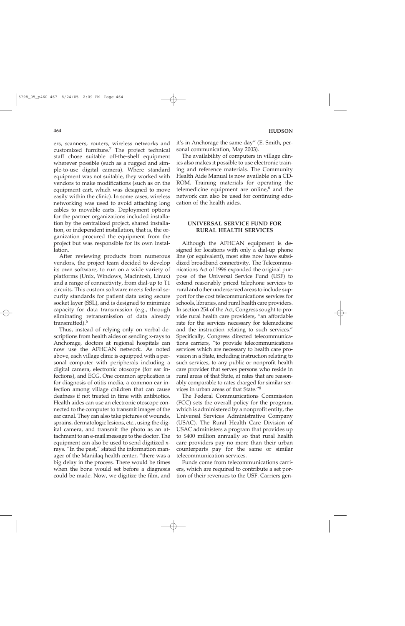ers, scanners, routers, wireless networks and customized furniture.7 The project technical staff chose suitable off-the-shelf equipment wherever possible (such as a rugged and simple-to-use digital camera). Where standard equipment was not suitable, they worked with vendors to make modifications (such as on the equipment cart, which was designed to move easily within the clinic). In some cases, wireless networking was used to avoid attaching long cables to movable carts. Deployment options for the partner organizations included installation by the centralized project, shared installation, or independent installation, that is, the organization procured the equipment from the project but was responsible for its own installation.

After reviewing products from numerous vendors, the project team decided to develop its own software, to run on a wide variety of platforms (Unix, Windows, Macintosh, Linux) and a range of connectivity, from dial-up to T1 circuits. This custom software meets federal security standards for patient data using secure socket layer (SSL), and is designed to minimize capacity for data transmission (e.g., through eliminating retransmission of data already transmitted).<sup>6</sup>

Thus, instead of relying only on verbal descriptions from health aides or sending x-rays to Anchorage, doctors at regional hospitals can now use the AFHCAN network. As noted above, each village clinic is equipped with a personal computer with peripherals including a digital camera, electronic otoscope (for ear infections), and ECG. One common application is for diagnosis of otitis media, a common ear infection among village children that can cause deafness if not treated in time with antibiotics. Health aides can use an electronic otoscope connected to the computer to transmit images of the ear canal. They can also take pictures of wounds, sprains, dermatologic lesions, etc., using the digital camera, and transmit the photo as an attachment to an e-mail message to the doctor. The equipment can also be used to send digitized xrays. "In the past," stated the information manager of the Maniilaq health center, "there was a big delay in the process. There would be times when the bone would set before a diagnosis could be made. Now, we digitize the film, and

it's in Anchorage the same day" (E. Smith, personal communication, May 2003).

The availability of computers in village clinics also makes it possible to use electronic training and reference materials. The Community Health Aide Manual is now available on a CD-ROM. Training materials for operating the telemedicine equipment are online, $6$  and the network can also be used for continuing education of the health aides.

# **UNIVERSAL SERVICE FUND FOR RURAL HEALTH SERVICES**

Although the AFHCAN equipment is designed for locations with only a dial-up phone line (or equivalent), most sites now have subsidized broadband connectivity. The Telecommunications Act of 1996 expanded the original purpose of the Universal Service Fund (USF) to extend reasonably priced telephone services to rural and other underserved areas to include support for the cost telecommunications services for schools, libraries, and rural health care providers. In section 254 of the Act, Congress sought to provide rural health care providers, "an affordable rate for the services necessary for telemedicine and the instruction relating to such services." Specifically, Congress directed telecommunications carriers, "to provide telecommunications services which are necessary to health care provision in a State, including instruction relating to such services, to any public or nonprofit health care provider that serves persons who reside in rural areas of that State, at rates that are reasonably comparable to rates charged for similar services in urban areas of that State."8

The Federal Communications Commission (FCC) sets the overall policy for the program, which is administered by a nonprofit entity, the Universal Services Administrative Company (USAC). The Rural Health Care Division of USAC administers a program that provides up to \$400 million annually so that rural health care providers pay no more than their urban counterparts pay for the same or similar telecommunication services.

Funds come from telecommunications carriers, which are required to contribute a set portion of their revenues to the USF. Carriers gen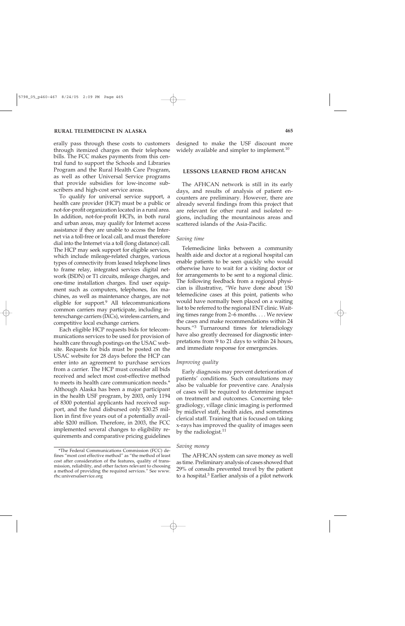erally pass through these costs to customers through itemized charges on their telephone bills. The FCC makes payments from this central fund to support the Schools and Libraries Program and the Rural Health Care Program, as well as other Universal Service programs that provide subsidies for low-income subscribers and high-cost service areas.

To qualify for universal service support, a health care provider (HCP) must be a public or not-for-profit organization located in a rural area. In addition, not-for-profit HCPs, in both rural and urban areas, may qualify for Internet access assistance if they are unable to access the Internet via a toll-free or local call, and must therefore dial into the Internet via a toll (long distance) call. The HCP may seek support for eligible services, which include mileage-related charges, various types of connectivity from leased telephone lines to frame relay, integrated services digital network (ISDN) or T1 circuits, mileage charges, and one-time installation charges. End user equipment such as computers, telephones, fax machines, as well as maintenance charges, are not eligible for support.<sup>9</sup> All telecommunications common carriers may participate, including interexchange carriers (IXCs), wireless carriers, and competitive local exchange carriers.

Each eligible HCP requests bids for telecommunications services to be used for provision of health care through postings on the USAC website. Requests for bids must be posted on the USAC website for 28 days before the HCP can enter into an agreement to purchase services from a carrier. The HCP must consider all bids received and select most cost-effective method to meets its health care communication needs.\* Although Alaska has been a major participant in the health USF program, by 2003, only 1194 of 8300 potential applicants had received support, and the fund disbursed only \$30.25 million in first five years out of a potentially available \$200 million. Therefore, in 2003, the FCC implemented several changes to eligibility requirements and comparative pricing guidelines

designed to make the USF discount more widely available and simpler to implement.<sup>10</sup>

## **LESSONS LEARNED FROM AFHCAN**

The AFHCAN network is still in its early days, and results of analysis of patient encounters are preliminary. However, there are already several findings from this project that are relevant for other rural and isolated regions, including the mountainous areas and scattered islands of the Asia-Pacific.

#### *Saving time*

Telemedicine links between a community health aide and doctor at a regional hospital can enable patients to be seen quickly who would otherwise have to wait for a visiting doctor or for arrangements to be sent to a regional clinic. The following feedback from a regional physician is illustrative, "We have done about 150 telemedicine cases at this point, patients who would have normally been placed on a waiting list to be referred to the regional ENT clinic. Waiting times range from 2–6 months. . . . We review the cases and make recommendations within 24 hours."<sup>3</sup> Turnaround times for teleradiology have also greatly decreased for diagnostic interpretations from 9 to 21 days to within 24 hours, and immediate response for emergencies.

### *Improving quality*

Early diagnosis may prevent deterioration of patients' conditions. Such consultations may also be valuable for preventive care. Analysis of cases will be required to determine impact on treatment and outcomes. Concerning telegradiology, village clinic imaging is performed by midlevel staff, health aides, and sometimes clerical staff. Training that is focused on taking x-rays has improved the quality of images seen by the radiologist. $11$ 

#### *Saving money*

The AFHCAN system can save money as well as time. Preliminary analysis of cases showed that 29% of consults prevented travel by the patient to a hospital. $3$  Earlier analysis of a pilot network

<sup>\*</sup>The Federal Communications Commission (FCC) defines "most cost effective method" as "the method of least cost after consideration of the features, quality of transmission, reliability, and other factors relevant to choosing a method of providing the required services." See www. rhc.universalservice.org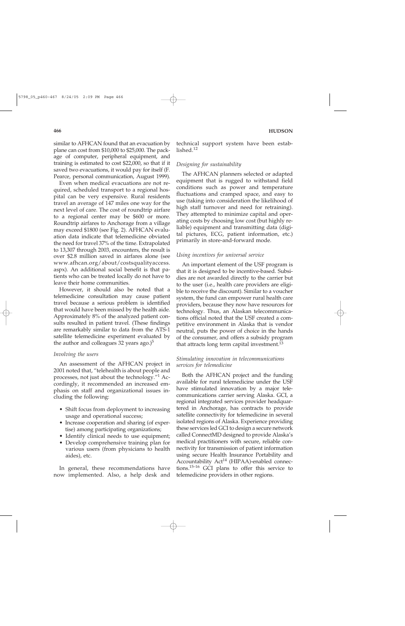similar to AFHCAN found that an evacuation by plane can cost from \$10,000 to \$25,000. The package of computer, peripheral equipment, and training is estimated to cost \$22,000, so that if it saved two evacuations, it would pay for itself (F. Pearce, personal communication, August 1999).

Even when medical evacuations are not required, scheduled transport to a regional hospital can be very expensive. Rural residents travel an average of 147 miles one way for the next level of care. The cost of roundtrip airfare to a regional center may be \$600 or more. Roundtrip airfares to Anchorage from a village may exceed \$1800 (see Fig. 2). AFHCAN evaluation data indicate that telemedicine obviated the need for travel 37% of the time. Extrapolated to 13,307 through 2003, encounters, the result is over \$2.8 million saved in airfares alone (see www.afhcan.org/about/costsqualityaccess. aspx). An additional social benefit is that patients who can be treated locally do not have to leave their home communities.

However, it should also be noted that a telemedicine consultation may cause patient travel because a serious problem is identified that would have been missed by the health aide. Approximately 8% of the analyzed patient consults resulted in patient travel. (These findings are remarkably similar to data from the ATS-1 satellite telemedicine experiment evaluated by the author and colleagues 32 years ago.) $5$ 

## *Involving the users*

An assessment of the AFHCAN project in 2001 noted that, "telehealth is about people and processes, not just about the technology."1 Accordingly, it recommended an increased emphasis on staff and organizational issues including the following:

- Shift focus from deployment to increasing usage and operational success;
- Increase cooperation and sharing (of expertise) among participating organizations;
- Identify clinical needs to use equipment;
- Develop comprehensive training plan for various users (from physicians to health aides), etc.

In general, these recommendations have now implemented. Also, a help desk and technical support system have been established.<sup>12</sup>

# *Designing for sustainability*

The AFHCAN planners selected or adapted equipment that is rugged to withstand field conditions such as power and temperature fluctuations and cramped space, and easy to use (taking into consideration the likelihood of high staff turnover and need for retraining). They attempted to minimize capital and operating costs by choosing low cost (but highly reliable) equipment and transmitting data (digital pictures, ECG, patient information, etc.) primarily in store-and-forward mode.

## *Using incentives for universal service*

An important element of the USF program is that it is designed to be incentive-based. Subsidies are not awarded directly to the carrier but to the user (i.e., health care providers are eligible to receive the discount). Similar to a voucher system, the fund can empower rural health care providers, because they now have resources for technology. Thus, an Alaskan telecommunications official noted that the USF created a competitive environment in Alaska that is vendor neutral, puts the power of choice in the hands of the consumer, and offers a subsidy program that attracts long term capital investment.<sup>13</sup>

# *Stimulating innovation in telecommunications services for telemedicine*

Both the AFHCAN project and the funding available for rural telemedicine under the USF have stimulated innovation by a major telecommunications carrier serving Alaska. GCI, a regional integrated services provider headquartered in Anchorage, has contracts to provide satellite connectivity for telemedicine in several isolated regions of Alaska. Experience providing these services led GCI to design a secure network called ConnectMD designed to provide Alaska's medical practitioners with secure, reliable connectivity for transmission of patient information using secure Health Insurance Portability and Accountability  $Act^{14}$  (HIPAA)-enabled connections.15–16 GCI plans to offer this service to telemedicine providers in other regions.